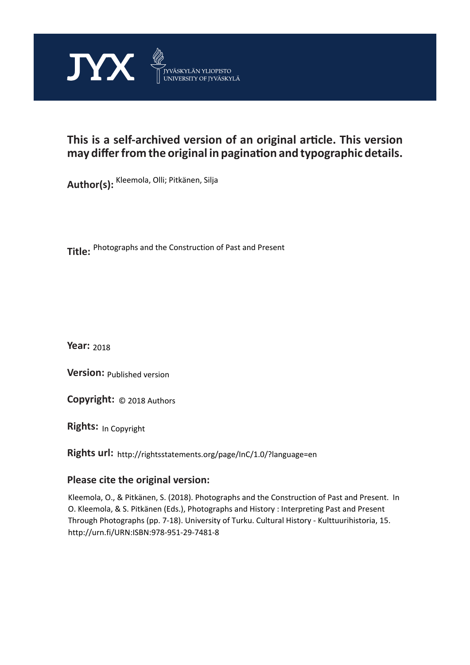

# **This is a self-archived version of an original article. This version may differ from the original in pagination and typographic details.**

**Author(s):**  Kleemola, Olli; Pitkänen, Silja

**Title:**  Photographs and the Construction of Past and Present

**Year:**  2018

**Version: Published version** 

**Version:** Published version<br>**Copyright:** © 2018 Authors

**Rights:** In Copyright

**Rights url:**  http://rightsstatements.org/page/InC/1.0/?language=en

# **Please cite the original version:**

Kleemola, O., & Pitkänen, S. (2018). Photographs and the Construction of Past and Present. In O. Kleemola, & S. Pitkänen (Eds.), Photographs and History : Interpreting Past and Present Through Photographs (pp. 7-18). University of Turku. Cultural History - Kulttuurihistoria, 15. http://urn.fi/URN:ISBN:978-951-29-7481-8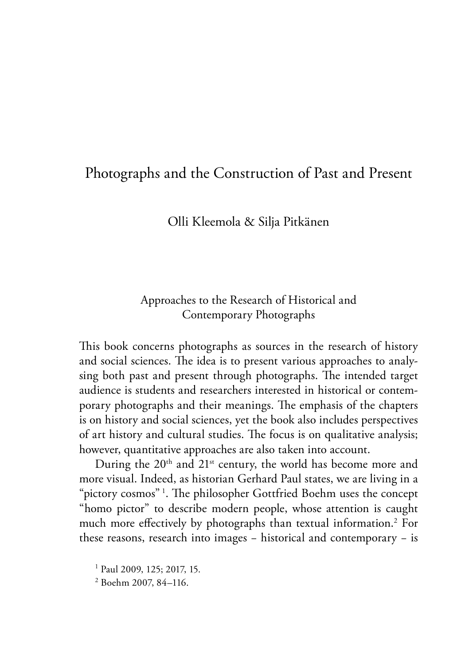# Photographs and the Construction of Past and Present

#### Olli Kleemola & Silja Pitkänen

## Approaches to the Research of Historical and Contemporary Photographs

This book concerns photographs as sources in the research of history and social sciences. The idea is to present various approaches to analysing both past and present through photographs. The intended target audience is students and researchers interested in historical or contemporary photographs and their meanings. The emphasis of the chapters is on history and social sciences, yet the book also includes perspectives of art history and cultural studies. The focus is on qualitative analysis; however, quantitative approaches are also taken into account.

During the 20<sup>th</sup> and 21<sup>st</sup> century, the world has become more and more visual. Indeed, as historian Gerhard Paul states, we are living in a "pictory cosmos" <sup>1</sup> . The philosopher Gottfried Boehm uses the concept "homo pictor" to describe modern people, whose attention is caught much more effectively by photographs than textual information.2 For these reasons, research into images − historical and contemporary − is

<sup>1</sup> Paul 2009, 125; 2017, 15.

<sup>2</sup> Boehm 2007, 84–116.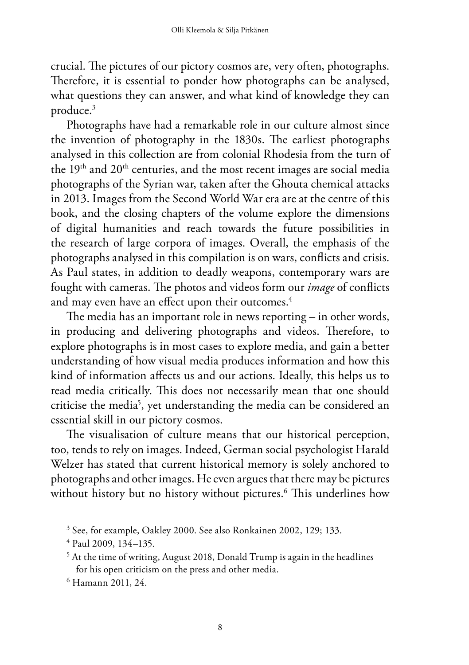crucial. The pictures of our pictory cosmos are, very often, photographs. Therefore, it is essential to ponder how photographs can be analysed, what questions they can answer, and what kind of knowledge they can produce.3

Photographs have had a remarkable role in our culture almost since the invention of photography in the 1830s. The earliest photographs analysed in this collection are from colonial Rhodesia from the turn of the 19<sup>th</sup> and 20<sup>th</sup> centuries, and the most recent images are social media photographs of the Syrian war, taken after the Ghouta chemical attacks in 2013. Images from the Second World War era are at the centre of this book, and the closing chapters of the volume explore the dimensions of digital humanities and reach towards the future possibilities in the research of large corpora of images. Overall, the emphasis of the photographs analysed in this compilation is on wars, conflicts and crisis. As Paul states, in addition to deadly weapons, contemporary wars are fought with cameras. The photos and videos form our *image* of conflicts and may even have an effect upon their outcomes.<sup>4</sup>

The media has an important role in news reporting – in other words, in producing and delivering photographs and videos. Therefore, to explore photographs is in most cases to explore media, and gain a better understanding of how visual media produces information and how this kind of information affects us and our actions. Ideally, this helps us to read media critically. This does not necessarily mean that one should criticise the media<sup>5</sup>, yet understanding the media can be considered an essential skill in our pictory cosmos.

The visualisation of culture means that our historical perception, too, tends to rely on images. Indeed, German social psychologist Harald Welzer has stated that current historical memory is solely anchored to photographs and other images. He even argues that there may be pictures without history but no history without pictures.6 This underlines how

<sup>3</sup> See, for example, Oakley 2000. See also Ronkainen 2002, 129; 133.

<sup>4</sup> Paul 2009, 134–135.

 $<sup>5</sup>$  At the time of writing, August 2018, Donald Trump is again in the headlines</sup> for his open criticism on the press and other media.

<sup>6</sup> Hamann 2011, 24.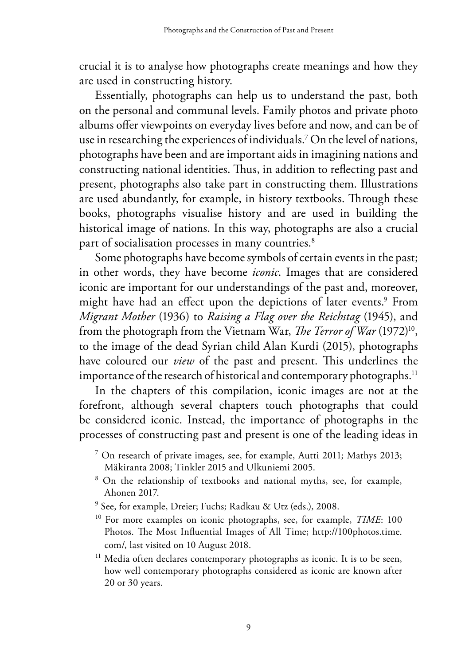crucial it is to analyse how photographs create meanings and how they are used in constructing history.

Essentially, photographs can help us to understand the past, both on the personal and communal levels. Family photos and private photo albums offer viewpoints on everyday lives before and now, and can be of use in researching the experiences of individuals.7 On the level of nations, photographs have been and are important aids in imagining nations and constructing national identities. Thus, in addition to reflecting past and present, photographs also take part in constructing them. Illustrations are used abundantly, for example, in history textbooks. Through these books, photographs visualise history and are used in building the historical image of nations. In this way, photographs are also a crucial part of socialisation processes in many countries.<sup>8</sup>

Some photographs have become symbols of certain events in the past; in other words, they have become *iconic*. Images that are considered iconic are important for our understandings of the past and, moreover, might have had an effect upon the depictions of later events.<sup>9</sup> From *Migrant Mother* (1936) to *Raising a Flag over the Reichstag* (1945), and from the photograph from the Vietnam War, *The Terror of War* (1972)10, to the image of the dead Syrian child Alan Kurdi (2015), photographs have coloured our *view* of the past and present. This underlines the importance of the research of historical and contemporary photographs.<sup>11</sup>

In the chapters of this compilation, iconic images are not at the forefront, although several chapters touch photographs that could be considered iconic. Instead, the importance of photographs in the processes of constructing past and present is one of the leading ideas in

- <sup>7</sup> On research of private images, see, for example, Autti 2011; Mathys 2013;
- Mäkiranta 2008; Tinkler 2015 and Ulkuniemi 2005. 8 On the relationship of textbooks and national myths, see, for example, Ahonen 2017.
- 9 See, for example, Dreier; Fuchs; Radkau & Utz (eds.), 2008.
- 10 For more examples on iconic photographs, see, for example, *TIME*: 100 Photos. The Most Influential Images of All Time; http://100photos.time. com/, last visited on 10 August 2018.

<sup>11</sup> Media often declares contemporary photographs as iconic. It is to be seen, how well contemporary photographs considered as iconic are known after 20 or 30 years.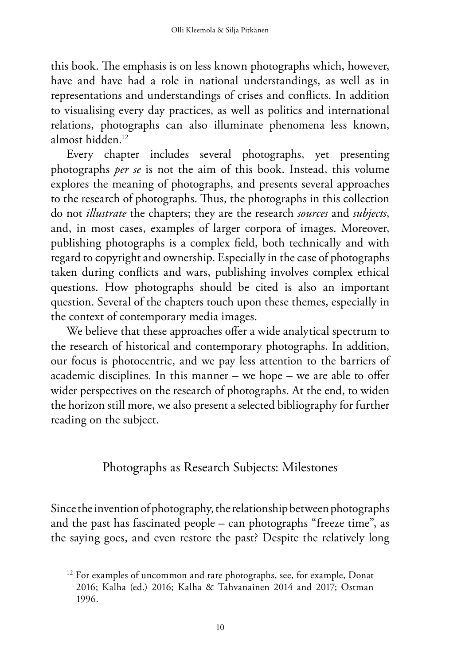this book. The emphasis is on less known photographs which, however, have and have had a role in national understandings, as well as in representations and understandings of crises and conflicts. In addition to visualising every day practices, as well as politics and international relations, photographs can also illuminate phenomena less known, almost hidden<sup>12</sup>

Every chapter includes several photographs, yet presenting photographs *per se* is not the aim of this book. Instead, this volume explores the meaning of photographs, and presents several approaches to the research of photographs. Thus, the photographs in this collection do not *illustrate* the chapters; they are the research *sources* and *subjects*, and, in most cases, examples of larger corpora of images. Moreover, publishing photographs is a complex field, both technically and with regard to copyright and ownership. Especially in the case of photographs taken during conflicts and wars, publishing involves complex ethical questions. How photographs should be cited is also an important question. Several of the chapters touch upon these themes, especially in the context of contemporary media images.

We believe that these approaches offer a wide analytical spectrum to the research of historical and contemporary photographs. In addition, our focus is photocentric, and we pay less attention to the barriers of academic disciplines. In this manner – we hope – we are able to offer wider perspectives on the research of photographs. At the end, to widen the horizon still more, we also present a selected bibliography for further reading on the subject.

Photographs as Research Subjects: Milestones

Since the invention of photography, the relationship between photographs and the past has fascinated people – can photographs "freeze time", as the saying goes, and even restore the past? Despite the relatively long

<sup>&</sup>lt;sup>12</sup> For examples of uncommon and rare photographs, see, for example, Donat 2016; Kalha (ed.) 2016; Kalha & Tahvanainen 2014 and 2017; Ostman 1996.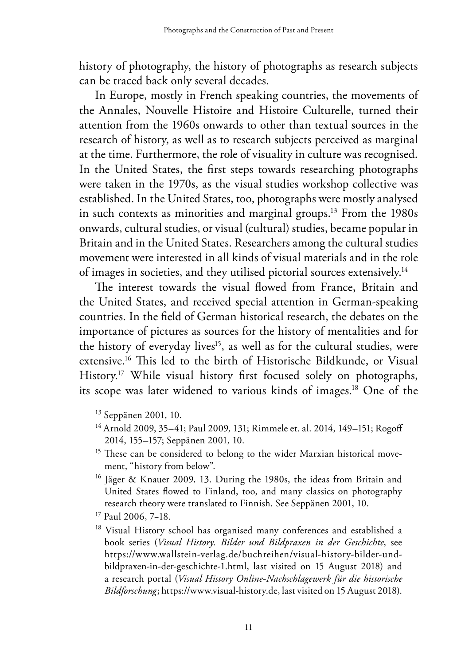history of photography, the history of photographs as research subjects can be traced back only several decades.

In Europe, mostly in French speaking countries, the movements of the Annales, Nouvelle Histoire and Histoire Culturelle, turned their attention from the 1960s onwards to other than textual sources in the research of history, as well as to research subjects perceived as marginal at the time. Furthermore, the role of visuality in culture was recognised. In the United States, the first steps towards researching photographs were taken in the 1970s, as the visual studies workshop collective was established. In the United States, too, photographs were mostly analysed in such contexts as minorities and marginal groups.13 From the 1980s onwards, cultural studies, or visual (cultural) studies, became popular in Britain and in the United States. Researchers among the cultural studies movement were interested in all kinds of visual materials and in the role of images in societies, and they utilised pictorial sources extensively.14

The interest towards the visual flowed from France, Britain and the United States, and received special attention in German-speaking countries. In the field of German historical research, the debates on the importance of pictures as sources for the history of mentalities and for the history of everyday lives<sup>15</sup>, as well as for the cultural studies, were extensive.16 This led to the birth of Historische Bildkunde, or Visual History.<sup>17</sup> While visual history first focused solely on photographs, its scope was later widened to various kinds of images.18 One of the

- 13 Seppänen 2001, 10.
- <sup>14</sup> Arnold 2009, 35–41; Paul 2009, 131; Rimmele et. al. 2014, 149–151; Rogoff 2014, 155–157; Seppänen 2001, 10.
- <sup>15</sup> These can be considered to belong to the wider Marxian historical movement, "history from below".
- <sup>16</sup> Jäger & Knauer 2009, 13. During the 1980s, the ideas from Britain and United States flowed to Finland, too, and many classics on photography research theory were translated to Finnish. See Seppänen 2001, 10.
- 17 Paul 2006, 7−18.
- <sup>18</sup> Visual History school has organised many conferences and established a book series (*Visual History. Bilder und Bildpraxen in der Geschichte*, see https://www.wallstein-verlag.de/buchreihen/visual-history-bilder-undbildpraxen-in-der-geschichte-1.html, last visited on 15 August 2018) and a research portal (*Visual History Online-Nachschlagewerk für die historische Bildforschung*; https://www.visual-history.de, last visited on 15 August 2018).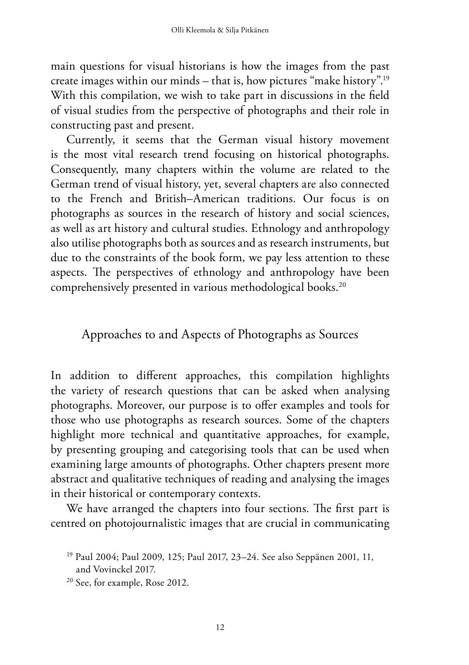main questions for visual historians is how the images from the past create images within our minds – that is, how pictures "make history".19 With this compilation, we wish to take part in discussions in the field of visual studies from the perspective of photographs and their role in constructing past and present.

Currently, it seems that the German visual history movement is the most vital research trend focusing on historical photographs. Consequently, many chapters within the volume are related to the German trend of visual history, yet, several chapters are also connected to the French and British–American traditions. Our focus is on photographs as sources in the research of history and social sciences, as well as art history and cultural studies. Ethnology and anthropology also utilise photographs both as sources and as research instruments, but due to the constraints of the book form, we pay less attention to these aspects. The perspectives of ethnology and anthropology have been comprehensively presented in various methodological books.20

## Approaches to and Aspects of Photographs as Sources

In addition to different approaches, this compilation highlights the variety of research questions that can be asked when analysing photographs. Moreover, our purpose is to offer examples and tools for those who use photographs as research sources. Some of the chapters highlight more technical and quantitative approaches, for example, by presenting grouping and categorising tools that can be used when examining large amounts of photographs. Other chapters present more abstract and qualitative techniques of reading and analysing the images in their historical or contemporary contexts.

We have arranged the chapters into four sections. The first part is centred on photojournalistic images that are crucial in communicating

<sup>19</sup> Paul 2004; Paul 2009, 125; Paul 2017, 23–24. See also Seppänen 2001, 11, and Vovinckel 2017.

<sup>20</sup> See, for example, Rose 2012.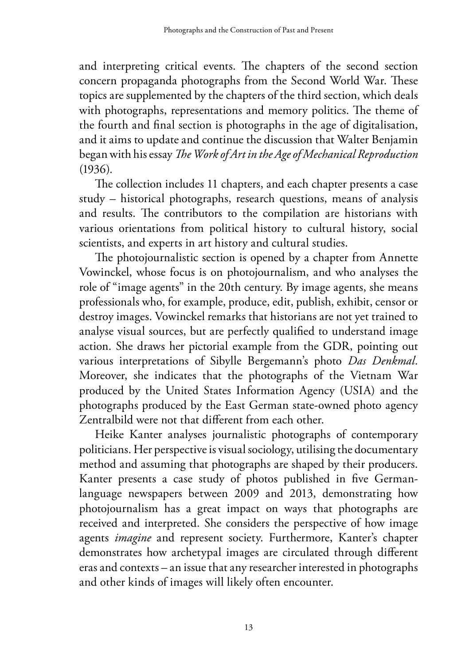and interpreting critical events. The chapters of the second section concern propaganda photographs from the Second World War. These topics are supplemented by the chapters of the third section, which deals with photographs, representations and memory politics. The theme of the fourth and final section is photographs in the age of digitalisation, and it aims to update and continue the discussion that Walter Benjamin began with his essay *The Work of Art in the Age of Mechanical Reproduction* (1936).

The collection includes 11 chapters, and each chapter presents a case study – historical photographs, research questions, means of analysis and results. The contributors to the compilation are historians with various orientations from political history to cultural history, social scientists, and experts in art history and cultural studies.

The photojournalistic section is opened by a chapter from Annette Vowinckel, whose focus is on photojournalism, and who analyses the role of "image agents" in the 20th century. By image agents, she means professionals who, for example, produce, edit, publish, exhibit, censor or destroy images. Vowinckel remarks that historians are not yet trained to analyse visual sources, but are perfectly qualified to understand image action. She draws her pictorial example from the GDR, pointing out various interpretations of Sibylle Bergemann's photo *Das Denkmal*. Moreover, she indicates that the photographs of the Vietnam War produced by the United States Information Agency (USIA) and the photographs produced by the East German state-owned photo agency Zentralbild were not that different from each other.

Heike Kanter analyses journalistic photographs of contemporary politicians. Her perspective is visual sociology, utilising the documentary method and assuming that photographs are shaped by their producers. Kanter presents a case study of photos published in five Germanlanguage newspapers between 2009 and 2013, demonstrating how photojournalism has a great impact on ways that photographs are received and interpreted. She considers the perspective of how image agents *imagine* and represent society. Furthermore, Kanter's chapter demonstrates how archetypal images are circulated through different eras and contexts – an issue that any researcher interested in photographs and other kinds of images will likely often encounter.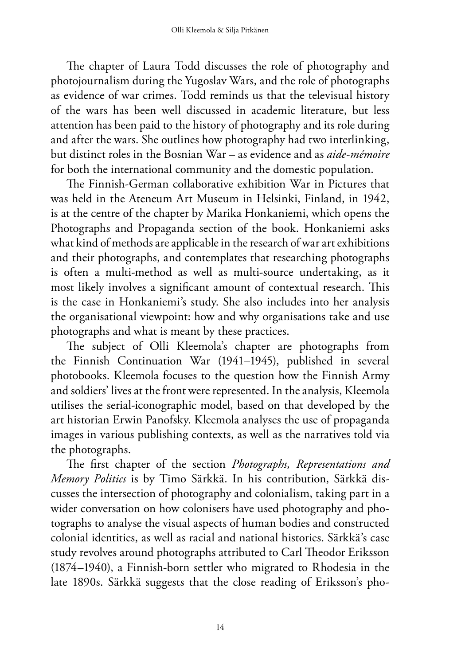The chapter of Laura Todd discusses the role of photography and photojournalism during the Yugoslav Wars, and the role of photographs as evidence of war crimes. Todd reminds us that the televisual history of the wars has been well discussed in academic literature, but less attention has been paid to the history of photography and its role during and after the wars. She outlines how photography had two interlinking, but distinct roles in the Bosnian War – as evidence and as *aide-mémoire* for both the international community and the domestic population.

The Finnish-German collaborative exhibition War in Pictures that was held in the Ateneum Art Museum in Helsinki, Finland, in 1942, is at the centre of the chapter by Marika Honkaniemi, which opens the Photographs and Propaganda section of the book. Honkaniemi asks what kind of methods are applicable in the research of war art exhibitions and their photographs, and contemplates that researching photographs is often a multi-method as well as multi-source undertaking, as it most likely involves a significant amount of contextual research. This is the case in Honkaniemi's study. She also includes into her analysis the organisational viewpoint: how and why organisations take and use photographs and what is meant by these practices.

The subject of Olli Kleemola's chapter are photographs from the Finnish Continuation War (1941–1945), published in several photobooks. Kleemola focuses to the question how the Finnish Army and soldiers' lives at the front were represented. In the analysis, Kleemola utilises the serial-iconographic model, based on that developed by the art historian Erwin Panofsky. Kleemola analyses the use of propaganda images in various publishing contexts, as well as the narratives told via the photographs.

The first chapter of the section *Photographs, Representations and Memory Politics* is by Timo Särkkä. In his contribution, Särkkä discusses the intersection of photography and colonialism, taking part in a wider conversation on how colonisers have used photography and photographs to analyse the visual aspects of human bodies and constructed colonial identities, as well as racial and national histories. Särkkä's case study revolves around photographs attributed to Carl Theodor Eriksson (1874–1940), a Finnish-born settler who migrated to Rhodesia in the late 1890s. Särkkä suggests that the close reading of Eriksson's pho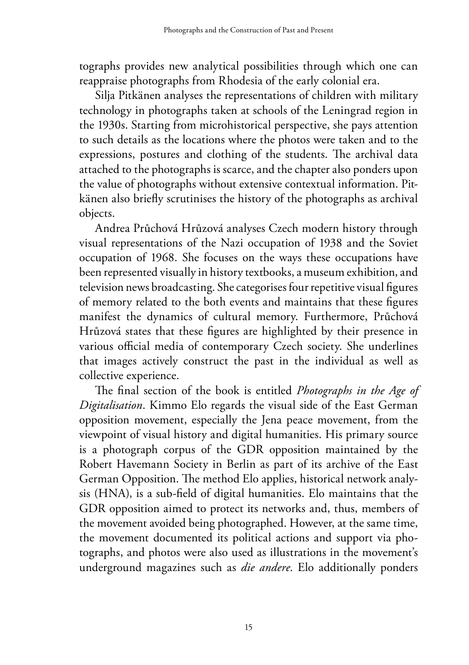tographs provides new analytical possibilities through which one can reappraise photographs from Rhodesia of the early colonial era.

Silja Pitkänen analyses the representations of children with military technology in photographs taken at schools of the Leningrad region in the 1930s. Starting from microhistorical perspective, she pays attention to such details as the locations where the photos were taken and to the expressions, postures and clothing of the students. The archival data attached to the photographs is scarce, and the chapter also ponders upon the value of photographs without extensive contextual information. Pitkänen also briefly scrutinises the history of the photographs as archival objects.

Andrea Průchová Hrůzová analyses Czech modern history through visual representations of the Nazi occupation of 1938 and the Soviet occupation of 1968. She focuses on the ways these occupations have been represented visually in history textbooks, a museum exhibition, and television news broadcasting. She categorises four repetitive visual figures of memory related to the both events and maintains that these figures manifest the dynamics of cultural memory. Furthermore, Průchová Hrůzová states that these figures are highlighted by their presence in various official media of contemporary Czech society. She underlines that images actively construct the past in the individual as well as collective experience.

The final section of the book is entitled *Photographs in the Age of Digitalisation*. Kimmo Elo regards the visual side of the East German opposition movement, especially the Jena peace movement, from the viewpoint of visual history and digital humanities. His primary source is a photograph corpus of the GDR opposition maintained by the Robert Havemann Society in Berlin as part of its archive of the East German Opposition. The method Elo applies, historical network analysis (HNA), is a sub-field of digital humanities. Elo maintains that the GDR opposition aimed to protect its networks and, thus, members of the movement avoided being photographed. However, at the same time, the movement documented its political actions and support via photographs, and photos were also used as illustrations in the movement's underground magazines such as *die andere*. Elo additionally ponders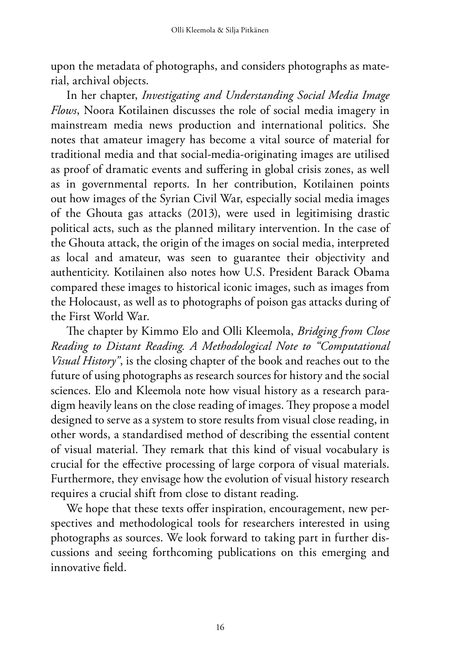upon the metadata of photographs, and considers photographs as material, archival objects.

In her chapter, *Investigating and Understanding Social Media Image Flows*, Noora Kotilainen discusses the role of social media imagery in mainstream media news production and international politics. She notes that amateur imagery has become a vital source of material for traditional media and that social-media-originating images are utilised as proof of dramatic events and suffering in global crisis zones, as well as in governmental reports. In her contribution, Kotilainen points out how images of the Syrian Civil War, especially social media images of the Ghouta gas attacks (2013), were used in legitimising drastic political acts, such as the planned military intervention. In the case of the Ghouta attack, the origin of the images on social media, interpreted as local and amateur, was seen to guarantee their objectivity and authenticity. Kotilainen also notes how U.S. President Barack Obama compared these images to historical iconic images, such as images from the Holocaust, as well as to photographs of poison gas attacks during of the First World War.

The chapter by Kimmo Elo and Olli Kleemola, *Bridging from Close Reading to Distant Reading. A Methodological Note to "Computational Visual History"*, is the closing chapter of the book and reaches out to the future of using photographs as research sources for history and the social sciences. Elo and Kleemola note how visual history as a research paradigm heavily leans on the close reading of images. They propose a model designed to serve as a system to store results from visual close reading, in other words, a standardised method of describing the essential content of visual material. They remark that this kind of visual vocabulary is crucial for the effective processing of large corpora of visual materials. Furthermore, they envisage how the evolution of visual history research requires a crucial shift from close to distant reading.

We hope that these texts offer inspiration, encouragement, new perspectives and methodological tools for researchers interested in using photographs as sources. We look forward to taking part in further discussions and seeing forthcoming publications on this emerging and innovative field.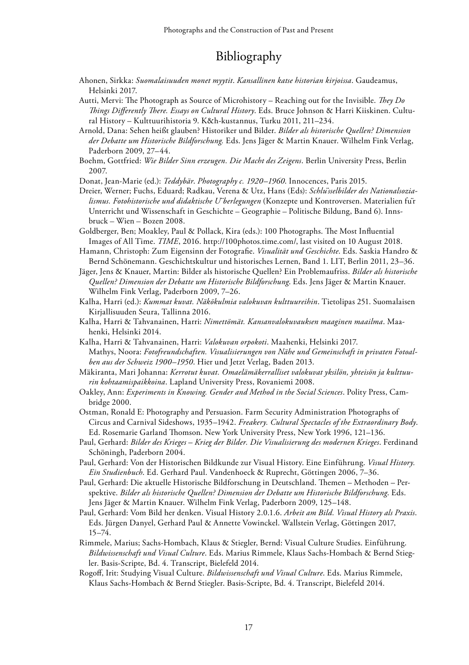## Bibliography

- Ahonen, Sirkka: *Suomalaisuuden monet myytit*. *Kansallinen katse historian kirjoissa*. Gaudeamus, Helsinki 2017.
- Autti, Mervi: The Photograph as Source of Microhistory Reaching out for the Invisible. *They Do Things Differently There. Essays on Cultural History*. Eds. Bruce Johnson & Harri Kiiskinen. Cultural History – Kulttuurihistoria 9. K&h-kustannus, Turku 2011, 211–234.
- Arnold, Dana: Sehen heißt glauben? Historiker und Bilder. *Bilder als historische Quellen? Dimension der Debatte um Historische Bildforschung.* Eds. Jens Jäger & Martin Knauer. Wilhelm Fink Verlag, Paderborn 2009, 27–44.
- Boehm, Gottfried: *Wie Bilder Sinn erzeugen. Die Macht des Zeigens*. Berlin University Press, Berlin 2007.

Donat, Jean-Marie (ed.): *Teddybär*. *Photography c. 1920–1960*. Innocences, Paris 2015.

Dreier, Werner; Fuchs, Eduard; Radkau, Verena & Utz, Hans (Eds): *Schlüsselbilder des Nationalsozialismus. Fotohistorische und didaktische Überlegungen* (Konzepte und Kontroversen. Materialien für Unterricht und Wissenschaft in Geschichte – Geographie – Politische Bildung, Band 6). Innsbruck – Wien – Bozen 2008.

Goldberger, Ben; Moakley, Paul & Pollack, Kira (eds.): 100 Photographs. The Most Influential Images of All Time. *TIME*, 2016. http://100photos.time.com/, last visited on 10 August 2018.

- Hamann, Christoph: Zum Eigensinn der Fotografie. *Visualität und Geschichte*. Eds. Saskia Handro & Bernd Schönemann. Geschichtskultur und historisches Lernen, Band 1. LIT, Berlin 2011, 23–36.
- Jäger, Jens & Knauer, Martin: Bilder als historische Quellen? Ein Problemaufriss. *Bilder als historische Quellen? Dimension der Debatte um Historische Bildforschung*. Eds. Jens Jäger & Martin Knauer. Wilhelm Fink Verlag, Paderborn 2009, 7–26.
- Kalha, Harri (ed.): *Kummat kuvat. Näkökulmia valokuvan kulttuureihin*. Tietolipas 251. Suomalaisen Kirjallisuuden Seura, Tallinna 2016.
- Kalha, Harri & Tahvanainen, Harri: *Nimettömät. Kansanvalokuvauksen maaginen maailma*. Maahenki, Helsinki 2014.
- Kalha, Harri & Tahvanainen, Harri: *Valokuvan orpokoti*. Maahenki, Helsinki 2017. Mathys, Noora: *Fotofreundschaften. Visualisierungen von Nähe und Gemeinschaft in privaten Fotoalben aus der Schweiz 1900–1950*. Hier und Jetzt Verlag, Baden 2013.
- Mäkiranta, Mari Johanna: *Kerrotut kuvat. Omaelämäkerralliset valokuvat yksilön, yhteisön ja kulttuurin kohtaamispaikkoina*. Lapland University Press, Rovaniemi 2008.
- Oakley, Ann: *Experiments in Knowing. Gender and Method in the Social Sciences*. Polity Press, Cambridge 2000.
- Ostman, Ronald E: Photography and Persuasion. Farm Security Administration Photographs of Circus and Carnival Sideshows, 1935–1942. *Freakery. Cultural Spectacles of the Extraordinary Body*. Ed. Rosemarie Garland Thomson. New York University Press, New York 1996, 121–136.
- Paul, Gerhard: *Bilder des Krieges Krieg der Bilder. Die Visualisierung des modernen Krieges*. Ferdinand Schöningh, Paderborn 2004.
- Paul, Gerhard: Von der Historischen Bildkunde zur Visual History. Eine Einführung. *Visual History. Ein Studienbuch*. Ed. Gerhard Paul. Vandenhoeck & Ruprecht, Göttingen 2006, 7–36.
- Paul, Gerhard: Die aktuelle Historische Bildforschung in Deutschland. Themen Methoden Perspektive. *Bilder als historische Quellen? Dimension der Debatte um Historische Bildforschung*. Eds. Jens Jäger & Martin Knauer. Wilhelm Fink Verlag, Paderborn 2009, 125–148.
- Paul, Gerhard: Vom Bild her denken. Visual History 2.0.1.6. *Arbeit am Bild. Visual History als Praxis*. Eds. Jürgen Danyel, Gerhard Paul & Annette Vowinckel. Wallstein Verlag, Göttingen 2017, 15–74.
- Rimmele, Marius; Sachs-Hombach, Klaus & Stiegler, Bernd: Visual Culture Studies. Einführung. *Bildwissenschaft und Visual Culture*. Eds. Marius Rimmele, Klaus Sachs-Hombach & Bernd Stiegler. Basis-Scripte, Bd. 4. Transcript, Bielefeld 2014.
- Rogoff, Irit: Studying Visual Culture. *Bildwissenschaft und Visual Culture*. Eds. Marius Rimmele, Klaus Sachs-Hombach & Bernd Stiegler. Basis-Scripte, Bd. 4. Transcript, Bielefeld 2014.